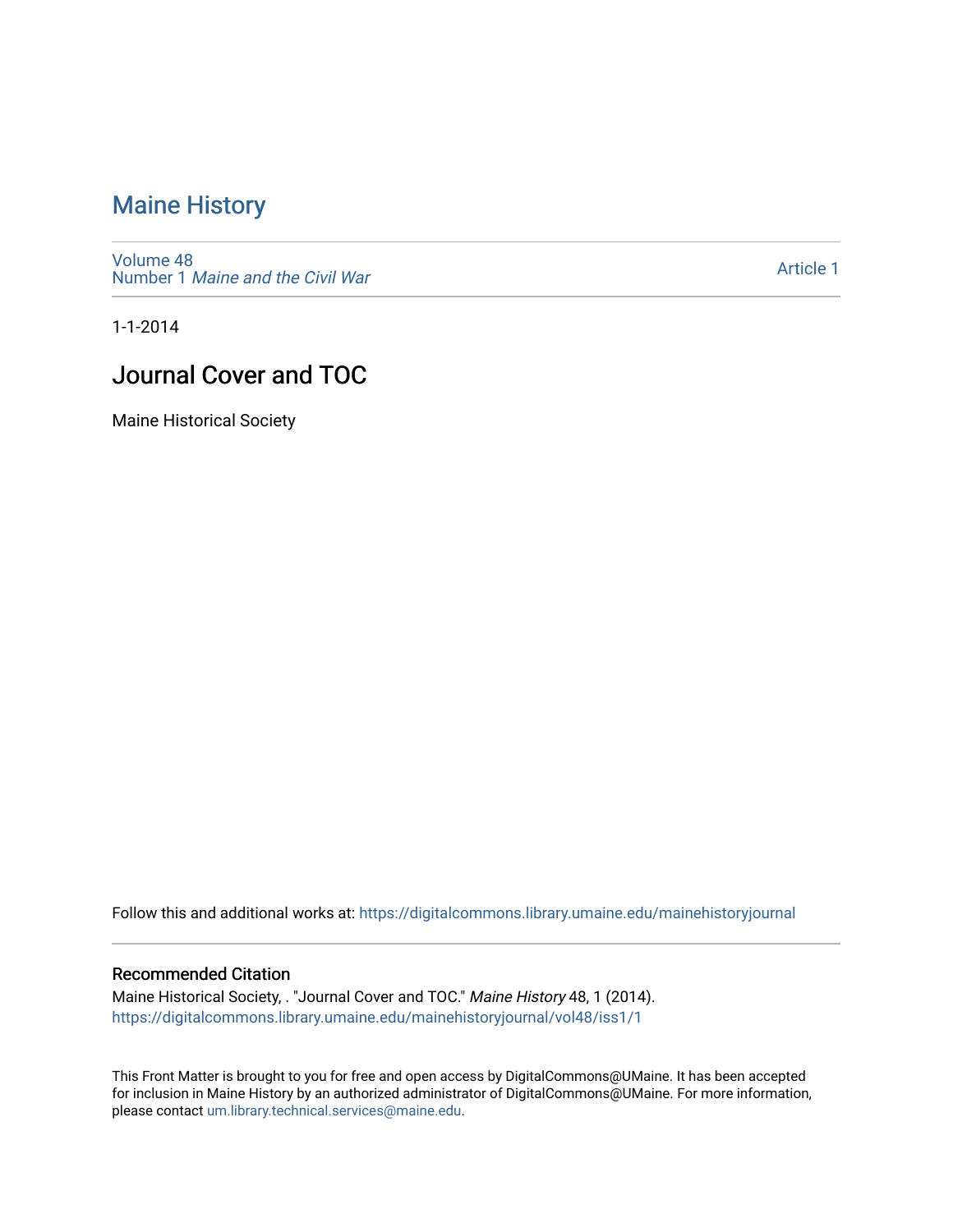### [Maine History](https://digitalcommons.library.umaine.edu/mainehistoryjournal)

[Volume 48](https://digitalcommons.library.umaine.edu/mainehistoryjournal/vol48) Number 1 [Maine and the Civil War](https://digitalcommons.library.umaine.edu/mainehistoryjournal/vol48/iss1)

[Article 1](https://digitalcommons.library.umaine.edu/mainehistoryjournal/vol48/iss1/1) 

1-1-2014

### Journal Cover and TOC

Maine Historical Society

Follow this and additional works at: [https://digitalcommons.library.umaine.edu/mainehistoryjournal](https://digitalcommons.library.umaine.edu/mainehistoryjournal?utm_source=digitalcommons.library.umaine.edu%2Fmainehistoryjournal%2Fvol48%2Fiss1%2F1&utm_medium=PDF&utm_campaign=PDFCoverPages) 

#### Recommended Citation

Maine Historical Society, . "Journal Cover and TOC." Maine History 48, 1 (2014). [https://digitalcommons.library.umaine.edu/mainehistoryjournal/vol48/iss1/1](https://digitalcommons.library.umaine.edu/mainehistoryjournal/vol48/iss1/1?utm_source=digitalcommons.library.umaine.edu%2Fmainehistoryjournal%2Fvol48%2Fiss1%2F1&utm_medium=PDF&utm_campaign=PDFCoverPages)

This Front Matter is brought to you for free and open access by DigitalCommons@UMaine. It has been accepted for inclusion in Maine History by an authorized administrator of DigitalCommons@UMaine. For more information, please contact [um.library.technical.services@maine.edu.](mailto:um.library.technical.services@maine.edu)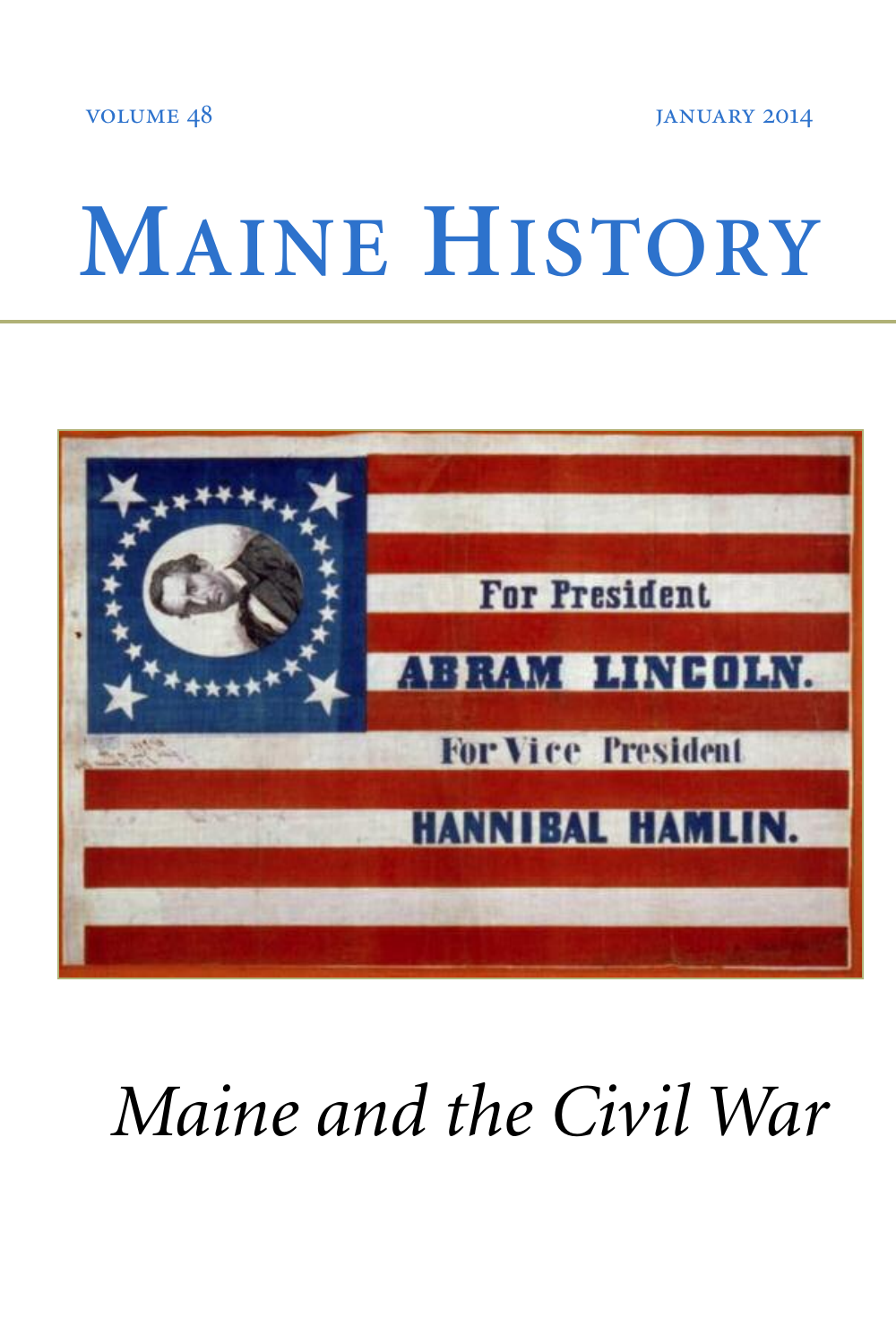VOLUME 48 JANUARY 2014

# **MAINE HISTORY**



## *Maine and the Civil War*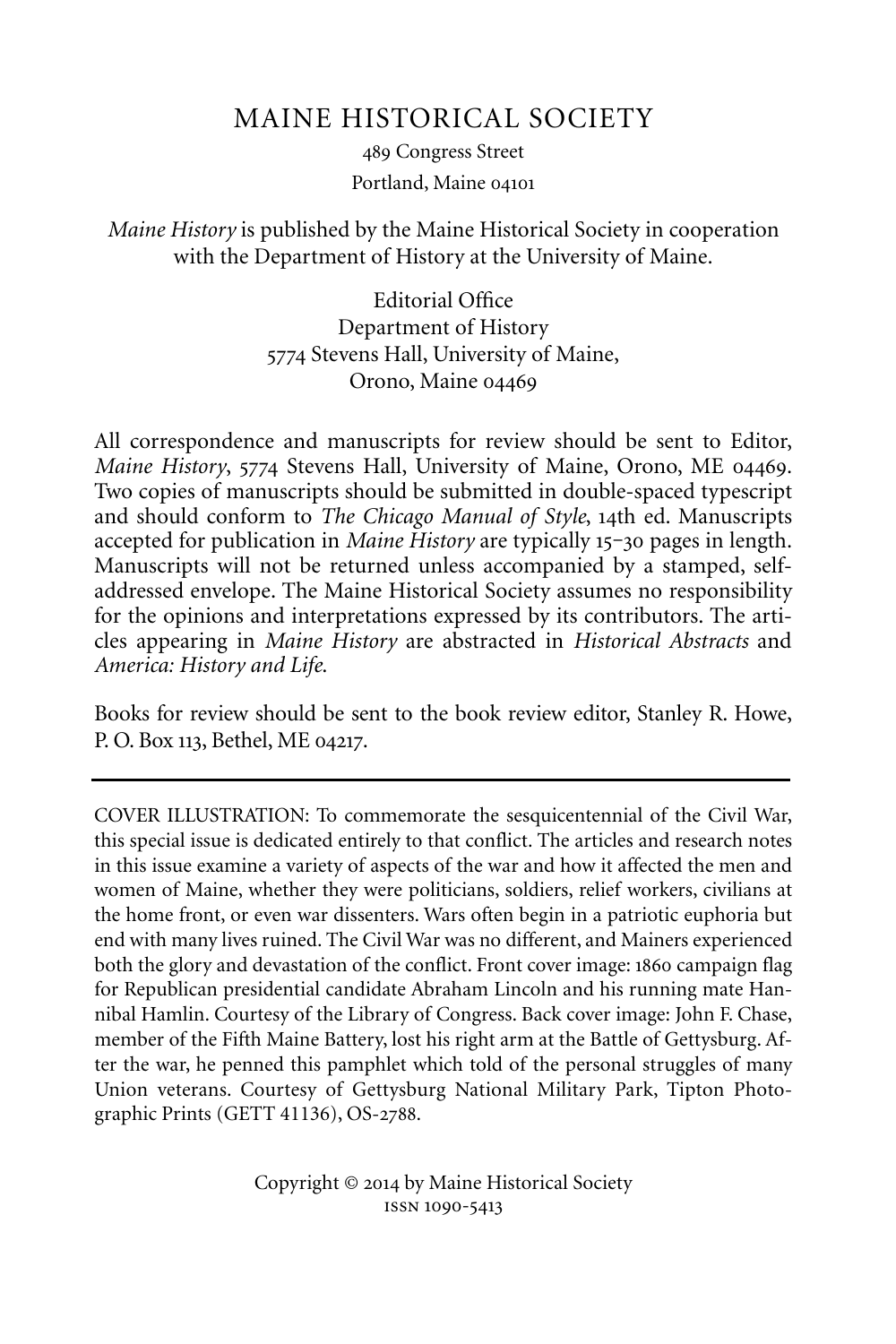#### MAINE HISTORICAL SOCIETY

489 Congress Street Portland, Maine

#### *Maine History* is published by the Maine Historical Society in cooperation with the Department of History at the University of Maine.

Editorial Office Department of History 5774 Stevens Hall, University of Maine, Orono, Maine

All correspondence and manuscripts for review should be sent to Editor, *Maine History*, 5774 Stevens Hall, University of Maine, Orono, ME 04469. Two copies of manuscripts should be submitted in double-spaced typescript and should conform to *The Chicago Manual of Style*, 14th ed. Manuscripts accepted for publication in *Maine History* are typically 15–30 pages in length. Manuscripts will not be returned unless accompanied by a stamped, selfaddressed envelope. The Maine Historical Society assumes no responsibility for the opinions and interpretations expressed by its contributors. The articles appearing in *Maine History* are abstracted in *Historical Abstracts* and *America: History and Life*.

Books for review should be sent to the book review editor, Stanley R. Howe, P. O. Box 113, Bethel, ME 04217.

COVER ILLUSTRATION: To commemorate the sesquicentennial of the Civil War, this special issue is dedicated entirely to that conflict. The articles and research notes in this issue examine a variety of aspects of the war and how it affected the men and women of Maine, whether they were politicians, soldiers, relief workers, civilians at the home front, or even war dissenters. Wars often begin in a patriotic euphoria but end with many lives ruined. The Civil War was no different, and Mainers experienced both the glory and devastation of the conflict. Front cover image: 1860 campaign flag for Republican presidential candidate Abraham Lincoln and his running mate Hannibal Hamlin. Courtesy of the Library of Congress. Back cover image: John F. Chase, member of the Fifth Maine Battery, lost his right arm at the Battle of Gettysburg. After the war, he penned this pamphlet which told of the personal struggles of many Union veterans. Courtesy of Gettysburg National Military Park, Tipton Photographic Prints (GETT 41136), OS-2788.

> Copyright © 2014 by Maine Historical Society ISSN 1090-5413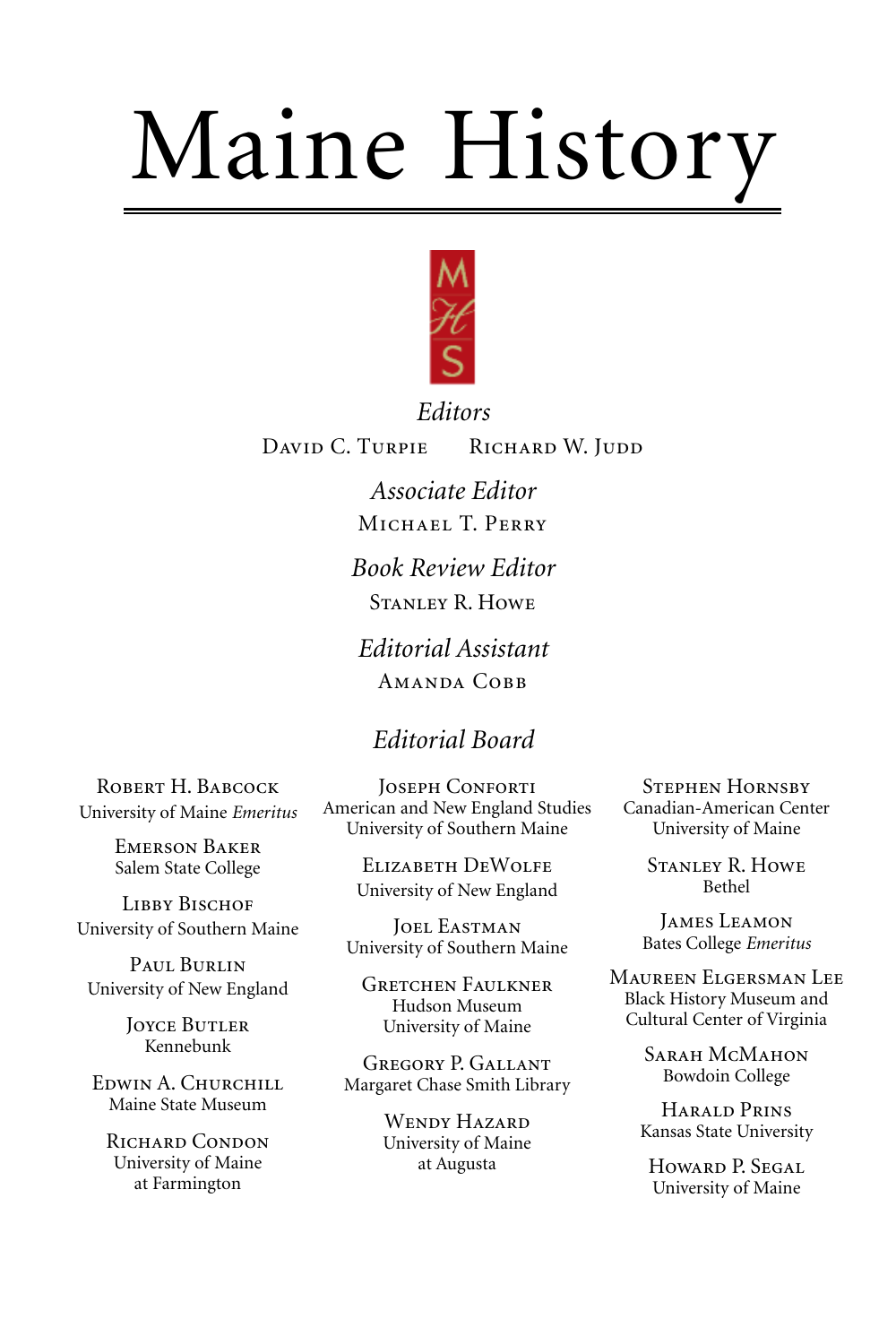# Maine History



*Editors* DAVID C. TURPIE RICHARD W. JUDD

> *Associate Editor* MICHAEL T. PERRY *Book Review Editor*

STANLEY R. HOWE

*Editorial Assistant* AMANDA COBB

#### *Editorial Board*

ROBERT H. BABCOCK University of Maine *Emeritus*

> **EMERSON BAKER** Salem State College

**LIBBY BISCHOF** University of Southern Maine

PAUL BURLIN University of New England

> **JOYCE BUTLER** Kennebunk

EDWIN A. CHURCHILL Maine State Museum

RICHARD CONDON University of Maine at Farmington

JOSEPH CONFORTI American and New England Studies University of Southern Maine

> ELIZABETH DEWOLFE University of New England

JOEL EASTMAN University of Southern Maine

**GRETCHEN FAULKNER** Hudson Museum University of Maine

GREGORY P. GALLANT Margaret Chase Smith Library

> WENDY HAZARD University of Maine at Augusta

**STEPHEN HORNSBY** Canadian-American Center University of Maine

> **STANLEY R. HOWE** Bethel

JAMES LEAMON Bates College *Emeritus*

MAUREEN ELGERSMAN LEE Black History Museum and Cultural Center of Virginia

> SARAH MCMAHON Bowdoin College

HARALD PRINS Kansas State University

HOWARD P. SEGAL University of Maine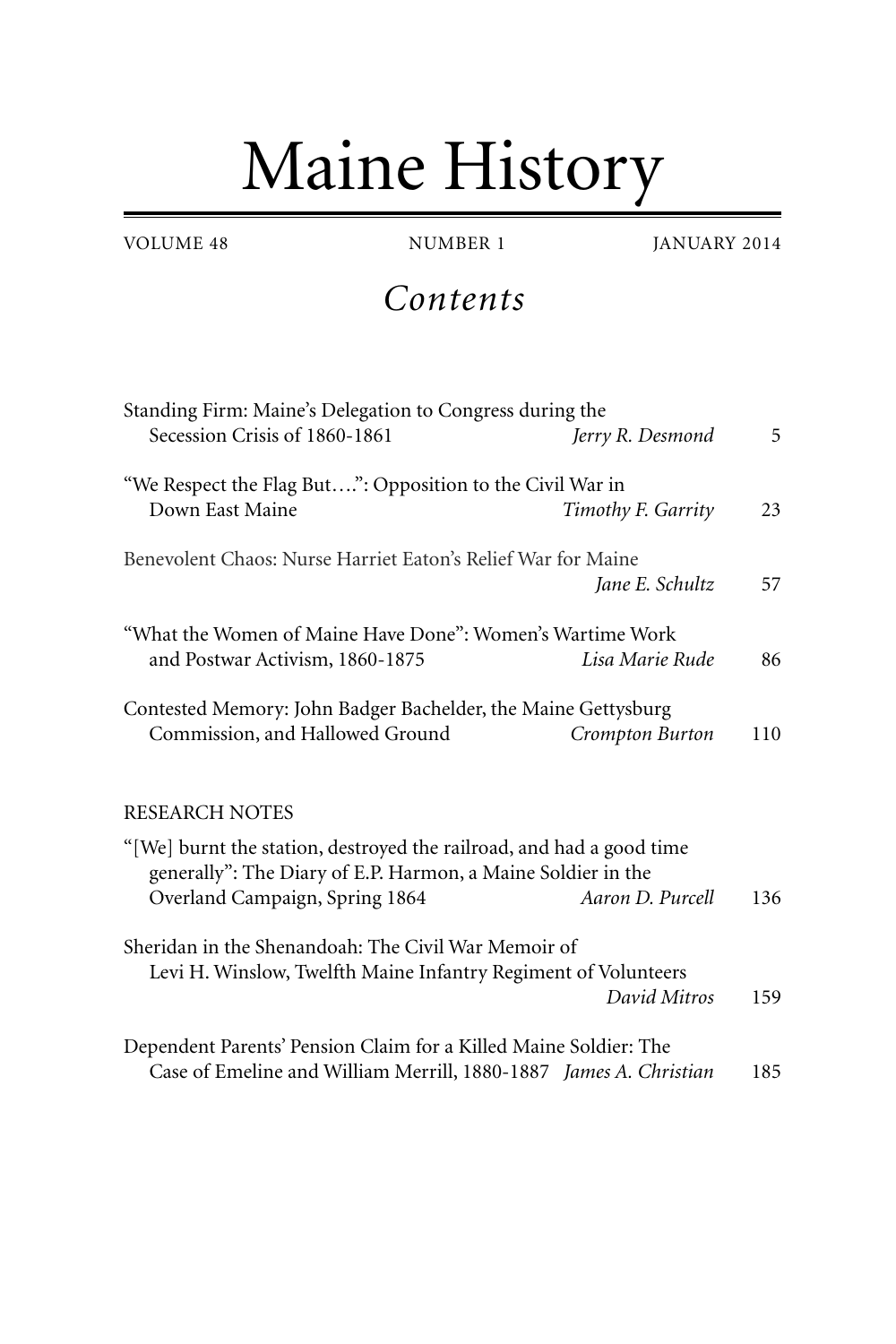## Maine History

*Contents*

| Standing Firm: Maine's Delegation to Congress during the                                                                             |     |
|--------------------------------------------------------------------------------------------------------------------------------------|-----|
| Secession Crisis of 1860-1861<br>Jerry R. Desmond                                                                                    | 5   |
| "We Respect the Flag But": Opposition to the Civil War in                                                                            |     |
| Down East Maine<br>Timothy F. Garrity                                                                                                | 23  |
| Benevolent Chaos: Nurse Harriet Eaton's Relief War for Maine                                                                         |     |
| Jane E. Schultz                                                                                                                      | 57  |
| "What the Women of Maine Have Done": Women's Wartime Work                                                                            |     |
| and Postwar Activism, 1860-1875<br>Lisa Marie Rude                                                                                   | 86  |
| Contested Memory: John Badger Bachelder, the Maine Gettysburg                                                                        |     |
| Commission, and Hallowed Ground<br>Crompton Burton                                                                                   | 110 |
| <b>RESEARCH NOTES</b>                                                                                                                |     |
| "[We] burnt the station, destroyed the railroad, and had a good time<br>generally": The Diary of E.P. Harmon, a Maine Soldier in the |     |
| Overland Campaign, Spring 1864<br>Aaron D. Purcell                                                                                   | 136 |
| Sheridan in the Shenandoah: The Civil War Memoir of                                                                                  |     |
| Levi H. Winslow, Twelfth Maine Infantry Regiment of Volunteers                                                                       |     |
| David Mitros                                                                                                                         | 159 |
| Dependent Parents' Pension Claim for a Killed Maine Soldier: The                                                                     |     |
| Case of Emeline and William Merrill, 1880-1887 James A. Christian                                                                    | 185 |

VOLUME 48 NUMBER 1 JANUARY 2014